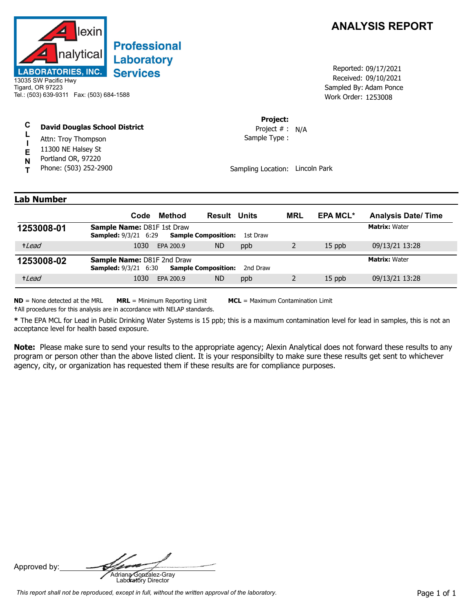

# **Professional** Laboratory **Services**

13035 SW Pacific Hwy Tigard, OR 97223 Tel.: (503) 639-9311 Fax: (503) 684-1588

#### **C David Douglas School District**

- **L** Attn: Troy Thompson
- **I E** 11300 NE Halsey St
- **N** Portland OR, 97220
- **T** Phone: (503) 252-2900

## **ANALYSIS REPORT**

Received: 09/10/2021 Work Order: 1253008 Reported: 09/17/2021 Sampled By: Adam Ponce

#### **Project:**

Sample Type : Project # : N/A

Sampling Location: Lincoln Park

### **Lab Number**

|            | Code                                                             | Method    | <b>Result Units</b>        |          | <b>MRL</b> | <b>EPA MCL*</b> | <b>Analysis Date/Time</b> |
|------------|------------------------------------------------------------------|-----------|----------------------------|----------|------------|-----------------|---------------------------|
| 1253008-01 | <b>Sample Name: D81F 1st Draw</b><br><b>Sampled: 9/3/21 6:29</b> |           | <b>Sample Composition:</b> | 1st Draw |            |                 | <b>Matrix: Water</b>      |
| +Lead      | 1030                                                             | EPA 200.9 | <b>ND</b>                  | ppb      |            | 15 ppb          | 09/13/21 13:28            |
| 1253008-02 | Sample Name: D81F 2nd Draw<br><b>Sampled: 9/3/21 6:30</b>        |           | <b>Sample Composition:</b> | 2nd Draw |            |                 | <b>Matrix: Water</b>      |
| +Lead      | 1030                                                             | EPA 200.9 | <b>ND</b>                  | ppb      |            | $15$ ppb        | 09/13/21 13:28            |

**ND** = None detected at the MRL **MRL** = Minimum Reporting Limit **MCL** = Maximum Contamination Limit

**†**All procedures for this analysis are in accordance with NELAP standards.

**\*** The EPA MCL for Lead in Public Drinking Water Systems is 15 ppb; this is a maximum contamination level for lead in samples, this is not an acceptance level for health based exposure.

**Note:** Please make sure to send your results to the appropriate agency; Alexin Analytical does not forward these results to any program or person other than the above listed client. It is your responsibilty to make sure these results get sent to whichever agency, city, or organization has requested them if these results are for compliance purposes.

Approved by: **Adriana Gonzalez-Gray**<br>Adriana Gonzalez-Gray<br>Laboratory Director